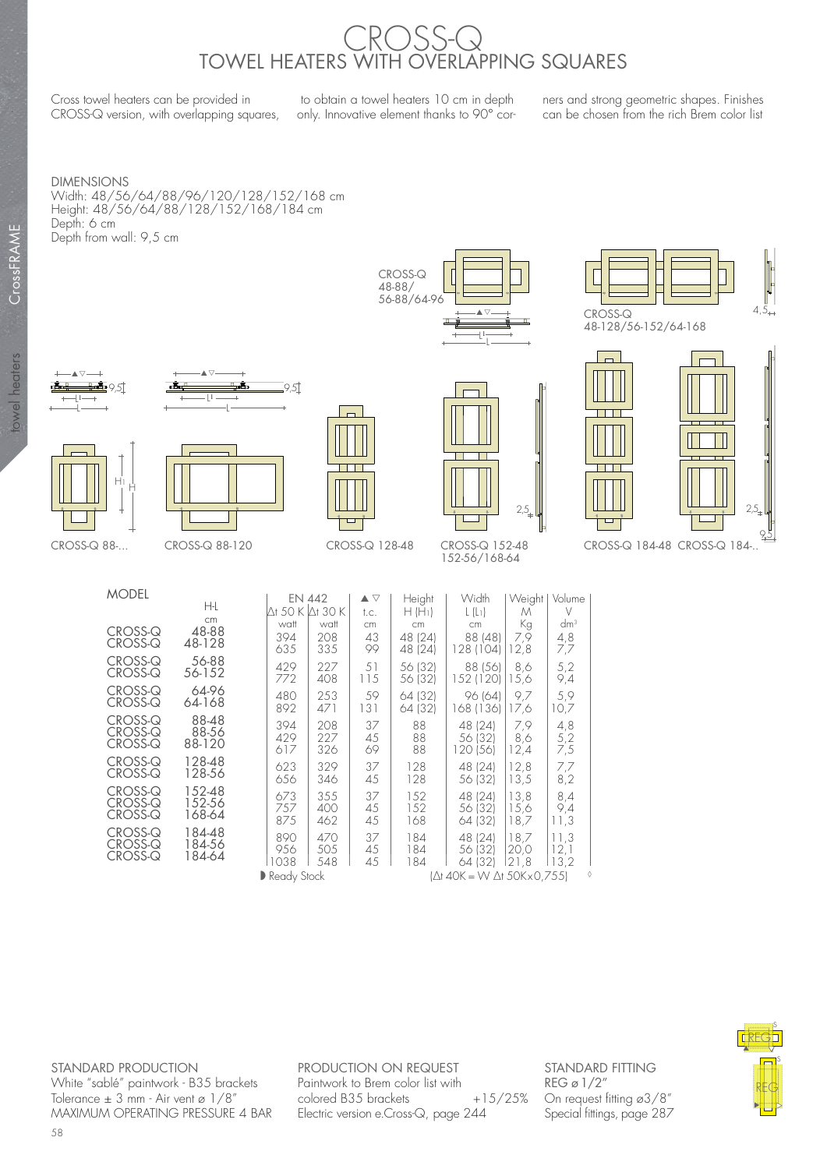## CROSS-Q TOWEL HEATERS WITH OVERLAPPING SQUARES

Cross towel heaters can be provided in CROSS-Q version, with overlapping squares,

 to obtain a towel heaters 10 cm in depth only. Innovative element thanks to 90° cor-

ners and strong geometric shapes. Finishes can be chosen from the rich Brem color list

DIMENSIONS Width: 48/56/64/88/96/120/128/152/168 cm Height: 48/56/64/88/128/152/168/184 cm Depth: 6 cm Depth from wall: 9,5 cm



L



48-128/56-152/64-168





▲▽



 $M$ 



▲▽ L1



 $\overline{\phantom{a}}$ 

152-56/168-64

 $\sim$ 

| <b>MODEL</b> |        | EN 442        |      | $\blacktriangle \triangledown$ | Height                    | Width     | Weight | Volume |
|--------------|--------|---------------|------|--------------------------------|---------------------------|-----------|--------|--------|
|              | ΗŁ     | Ơ 50 K Ơ 30 K |      | t.c.                           | $H(H_1)$                  | $L(L_1)$  | M      | V      |
|              | cm     | watt          | watt | cm                             | cm                        | cm        | Кg     | $dm^3$ |
| CROSS-Q      | 48-88  | 394           | 208  | 43                             | 48 (24)                   | 88 (48)   | 7,9    | 4,8    |
| CROSS-Q      | 48-128 | 635           | 335  | 99                             | 48 (24)                   | 128 (104) | 12,8   | 7,7    |
| CROSS-Q      | 56-88  | 429           | 227  | 51                             | 56 (32)                   | 88 (56)   | 8,6    | 5,2    |
| CROSS-Q      | 56-152 | 772           | 408  | 115                            | 56 (32)                   | 152 (120) | 15,6   | 9,4    |
| CROSS-Q      | 64-96  | 480           | 253  | 59                             | 64 (32)                   | 96 (64)   | 9.7    | 5,9    |
| CROSS-Q      | 64-168 | 892           | 471  | 131                            | 64 (32)                   | 168 (136) | 17,6   | 10,7   |
| CROSS-Q      | 88-48  | 394           | 208  | 37                             | 88                        | 48 (24)   | 7,9    | 4,8    |
| CROSS-Q      | 88-56  | 429           | 227  | 45                             | 88                        | 56 (32)   | 8,6    | 5,2    |
| CROSS-Q      | 88-120 | 617           | 326  | 69                             | 88                        | 120 (56)  | 12,4   | 7,5    |
| CROSS-Q      | 128-48 | 623           | 329  | 37                             | 128                       | 48 (24)   | 12,8   | 7,7    |
| CROSS-Q      | 128-56 | 656           | 346  | 45                             | 128                       | 56 (32)   | 13,5   | 8,2    |
| CROSS-Q      | 152-48 | 673           | 355  | 37                             | 152                       | 48 (24)   | 13.8   | 8,4    |
| CROSS-Q      | 152-56 | 757           | 400  | 45                             | 152                       | 56 (32)   | 15,6   | 9,4    |
| CROSS-Q      | 168-64 | 875           | 462  | 45                             | 168                       | 64 (32)   | 18,7   | 11,3   |
| CROSS-Q      | 184-48 | 890           | 470  | 37                             | 184                       | 48 (24)   | 18.7   | 11.3   |
| CROSS-Q      | 184-56 | 956           | 505  | 45                             | 184                       | 56 (32)   | 20,0   | 12,1   |
| CROSS-Q      | 184-64 | 1038          | 548  | 45                             | 184                       | 64 (32)   | 21.8   | 13,2   |
|              |        | Ready Stock   |      |                                | (Δt 40K = W Δt 50Kx0,755) |           |        |        |

STANDARD PRODUCTION White "sablé" paintwork - B35 brackets Tolerance ± 3 mm - Air vent ø 1/8" MAXIMUM OPERATING PRESSURE 4 BAR PRODUCTION ON REQUEST Paintwork to Brem color list with  $colored B35 brackets$   $+15/25%$ Electric version e.Cross-Q, page 244

STANDARD FITTING REG ø 1/2" On request fitting ø3/8" Special fittings, page 287

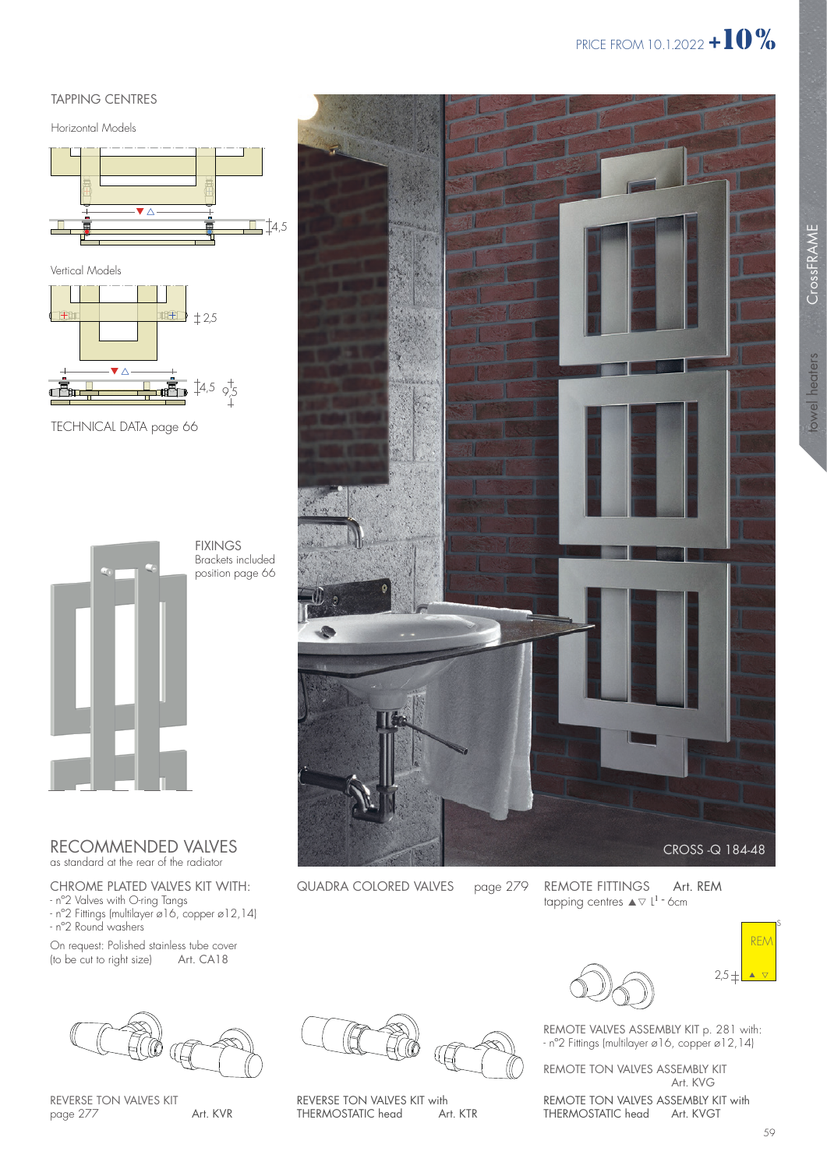#### TAPPING CENTRES

Horizontal Models





TECHNICAL DATA page 66



### RECOMMENDED VALVES

as standard at the rear of the radiator

#### CHROME PLATED VALVES KIT WITH:

- nº2 Valves with O-ring Tangs - nº2 Fittings (multilayer ø16, copper ø12,14) - nº2 Round washers

On request: Polished stainless tube cover<br>(to be cut to right size) Art. CA18  $($ to be cut to right size $)$ 



REVERSE TON VALVES KIT page 277





QUADRA COLORED VALVES page 279

REVERSE TON VALVES KIT with<br>THERMOSTATIC head Art. KTR

REMOTE FITTINGS tapping centres  $\blacktriangle \triangledown$  L<sup>1</sup> - 6cm Art. REM



REMOTE VALVES ASSEMBLY KIT p. 281 with: - nº2 Fittings (multilayer ø16, copper ø12,14)

REMOTE TON VALVES ASSEMBLY KIT Art. KVG

REMOTE TON VALVES ASSEMBLY KIT with<br>THERMOSTATIC head Art. KVGT THERMOSTATIC head

towel heaters

towel heaters